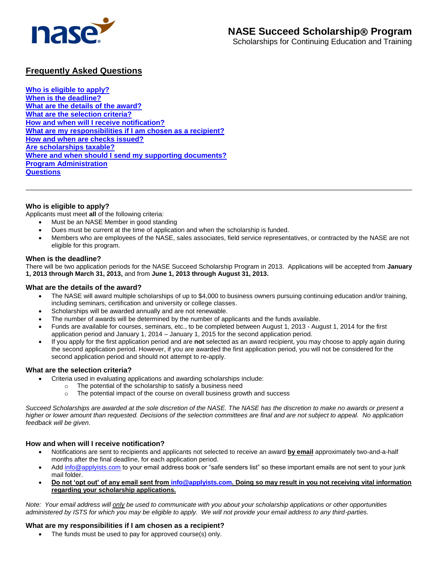

# **Frequently Asked Questions**

**[Who is eligible to apply?](#page-0-0) [When is the deadline?](#page-0-1) What [are the details of the award?](#page-0-2) [What are the selection criteria?](#page-0-3) [How and when will I receive notification?](#page-0-4) [What are my responsibilities if I am chosen as a recipient?](#page-0-5) [How and when are checks issued?](#page-1-0) [Are scholarships taxable?](#page-1-1) [Where and when should I send my supporting documents?](#page-1-2) [Program Administration](#page-1-3) [Questions](#page-1-4)**

## <span id="page-0-0"></span>**Who is eligible to apply?**

Applicants must meet **all** of the following criteria:

- Must be an NASE Member in good standing
- Dues must be current at the time of application and when the scholarship is funded.
- Members who are employees of the NASE, sales associates, field service representatives, or contracted by the NASE are not eligible for this program.

#### <span id="page-0-1"></span>**When is the deadline?**

There will be two application periods for the NASE Succeed Scholarship Program in 2013. Applications will be accepted from **January 1, 2013 through March 31, 2013,** and from **June 1, 2013 through August 31, 2013.**

## <span id="page-0-2"></span>**What are the details of the award?**

- The NASE will award multiple scholarships of up to \$4,000 to business owners pursuing continuing education and/or training, including seminars, certification and university or college classes.
- Scholarships will be awarded annually and are not renewable.
- The number of awards will be determined by the number of applicants and the funds available.
- Funds are available for courses, seminars, etc., to be completed between August 1, 2013 August 1, 2014 for the first application period and January 1, 2014 – January 1, 2015 for the second application period.
- If you apply for the first application period and are **not** selected as an award recipient, you may choose to apply again during the second application period. However, if you are awarded the first application period, you will not be considered for the second application period and should not attempt to re-apply.

## <span id="page-0-3"></span>**What are the selection criteria?**

- Criteria used in evaluating applications and awarding scholarships include:
	- o The potential of the scholarship to satisfy a business need
	- o The potential impact of the course on overall business growth and success

*Succeed Scholarships are awarded at the sole discretion of the NASE. The NASE has the discretion to make no awards or present a higher or lower amount than requested. Decisions of the selection committees are final and are not subject to appeal. No application feedback will be given.*

## <span id="page-0-4"></span>**How and when will I receive notification?**

- Notifications are sent to recipients and applicants not selected to receive an award **by email** approximately two-and-a-half months after the final deadline, for each application period.
- Ad[d info@applyists.com](mailto:info@applyists.com) to your email address book or "safe senders list" so these important emails are not sent to your junk mail folder.
- **Do not 'opt out' of any email sent from [info@applyists.com.](mailto:info@applyists.com) Doing so may result in you not receiving vital information regarding your scholarship applications.**

*Note: Your email address will only be used to communicate with you about your scholarship applications or other opportunities administered by ISTS for which you may be eligible to apply. We will not provide your email address to any third-parties.* 

## <span id="page-0-5"></span>**What are my responsibilities if I am chosen as a recipient?**

The funds must be used to pay for approved course(s) only.